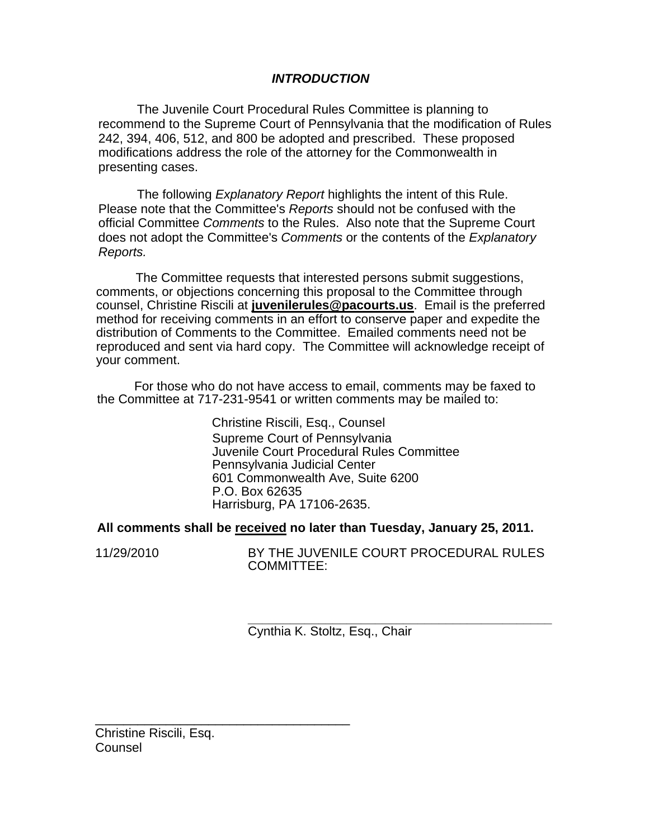## *INTRODUCTION*

The Juvenile Court Procedural Rules Committee is planning to recommend to the Supreme Court of Pennsylvania that the modification of Rules 242, 394, 406, 512, and 800 be adopted and prescribed. These proposed modifications address the role of the attorney for the Commonwealth in presenting cases.

The following *Explanatory Report* highlights the intent of this Rule. Please note that the Committee's *Reports* should not be confused with the official Committee *Comments* to the Rules. Also note that the Supreme Court does not adopt the Committee's *Comments* or the contents of the *Explanatory Reports.* 

The Committee requests that interested persons submit suggestions, comments, or objections concerning this proposal to the Committee through counsel, Christine Riscili at **juvenilerules@pacourts.us**. Email is the preferred method for receiving comments in an effort to conserve paper and expedite the distribution of Comments to the Committee. Emailed comments need not be reproduced and sent via hard copy. The Committee will acknowledge receipt of your comment.

I For those who do not have access to email, comments may be faxed to the Committee at 717-231-9541 or written comments may be mailed to:

> Christine Riscili, Esq., Counsel Supreme Court of Pennsylvania Juvenile Court Procedural Rules Committee Pennsylvania Judicial Center 601 Commonwealth Ave, Suite 6200 P.O. Box 62635 Harrisburg, PA 17106-2635.

### **All comments shall be received no later than Tuesday, January 25, 2011.**

11/29/2010 BY THE JUVENILE COURT PROCEDURAL RULES COMMITTEE:

> **\_\_\_\_\_\_\_\_\_\_\_\_\_\_\_\_\_\_\_\_\_\_\_\_\_\_\_\_\_\_\_\_\_\_\_\_\_\_\_\_\_\_\_**  Cynthia K. Stoltz, Esq., Chair

Christine Riscili, Esq. Counsel

\_\_\_\_\_\_\_\_\_\_\_\_\_\_\_\_\_\_\_\_\_\_\_\_\_\_\_\_\_\_\_\_\_\_\_\_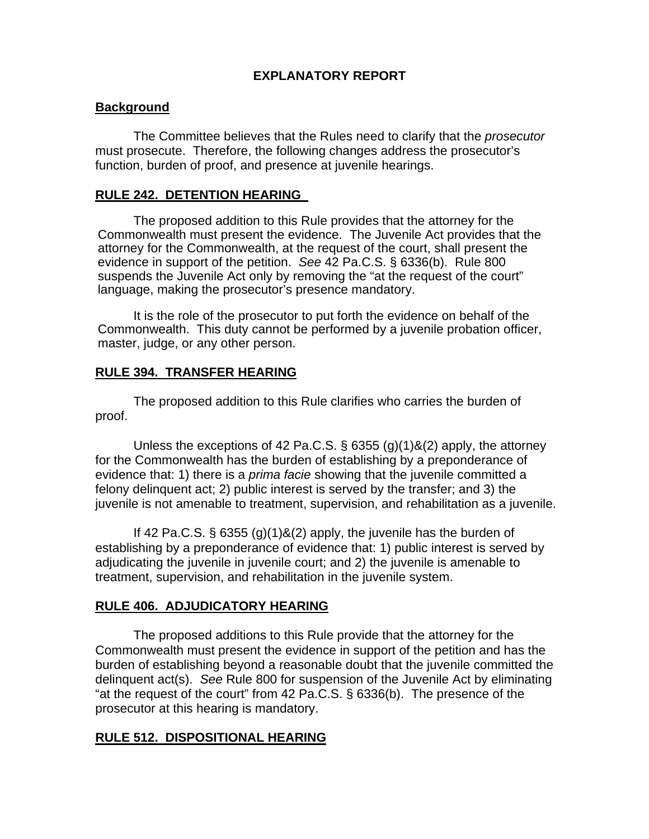# **EXPLANATORY REPORT**

## **Background**

The Committee believes that the Rules need to clarify that the *prosecutor*  must prosecute. Therefore, the following changes address the prosecutor's function, burden of proof, and presence at juvenile hearings.

## **RULE 242. DETENTION HEARING**

The proposed addition to this Rule provides that the attorney for the Commonwealth must present the evidence. The Juvenile Act provides that the attorney for the Commonwealth, at the request of the court, shall present the evidence in support of the petition. *See* 42 Pa.C.S. § 6336(b). Rule 800 suspends the Juvenile Act only by removing the "at the request of the court" language, making the prosecutor's presence mandatory.

It is the role of the prosecutor to put forth the evidence on behalf of the Commonwealth. This duty cannot be performed by a juvenile probation officer, master, judge, or any other person.

### **RULE 394. TRANSFER HEARING**

The proposed addition to this Rule clarifies who carries the burden of proof.

Unless the exceptions of 42 Pa.C.S. § 6355 (g)(1)&(2) apply, the attorney for the Commonwealth has the burden of establishing by a preponderance of evidence that: 1) there is a *prima facie* showing that the juvenile committed a felony delinquent act; 2) public interest is served by the transfer; and 3) the juvenile is not amenable to treatment, supervision, and rehabilitation as a juvenile.

If 42 Pa.C.S.  $\S$  6355 (g)(1)&(2) apply, the juvenile has the burden of establishing by a preponderance of evidence that: 1) public interest is served by adjudicating the juvenile in juvenile court; and 2) the juvenile is amenable to treatment, supervision, and rehabilitation in the juvenile system.

## **RULE 406. ADJUDICATORY HEARING**

The proposed additions to this Rule provide that the attorney for the Commonwealth must present the evidence in support of the petition and has the burden of establishing beyond a reasonable doubt that the juvenile committed the delinquent act(s). *See* Rule 800 for suspension of the Juvenile Act by eliminating "at the request of the court" from 42 Pa.C.S. § 6336(b). The presence of the prosecutor at this hearing is mandatory.

## **RULE 512. DISPOSITIONAL HEARING**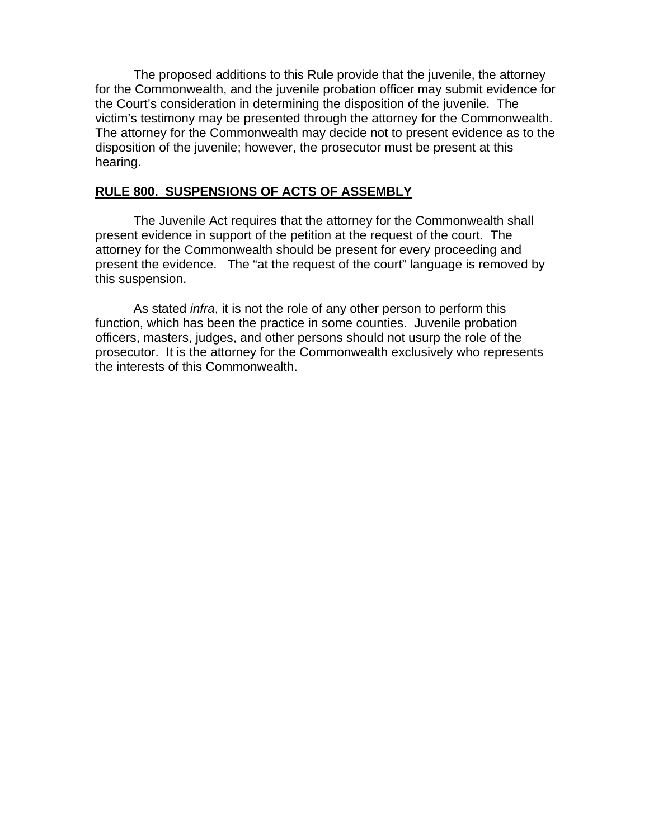The proposed additions to this Rule provide that the juvenile, the attorney for the Commonwealth, and the juvenile probation officer may submit evidence for the Court's consideration in determining the disposition of the juvenile. The victim's testimony may be presented through the attorney for the Commonwealth. The attorney for the Commonwealth may decide not to present evidence as to the disposition of the juvenile; however, the prosecutor must be present at this hearing.

# **RULE 800. SUSPENSIONS OF ACTS OF ASSEMBLY**

The Juvenile Act requires that the attorney for the Commonwealth shall present evidence in support of the petition at the request of the court. The attorney for the Commonwealth should be present for every proceeding and present the evidence. The "at the request of the court" language is removed by this suspension.

As stated *infra*, it is not the role of any other person to perform this function, which has been the practice in some counties. Juvenile probation officers, masters, judges, and other persons should not usurp the role of the prosecutor. It is the attorney for the Commonwealth exclusively who represents the interests of this Commonwealth.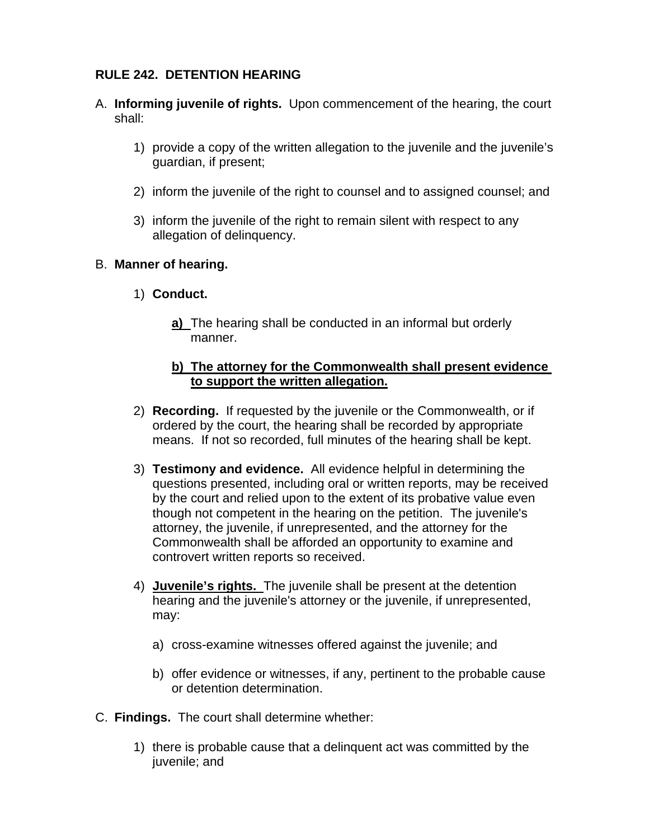# **RULE 242. DETENTION HEARING**

- A. **Informing juvenile of rights.** Upon commencement of the hearing, the court shall:
	- 1) provide a copy of the written allegation to the juvenile and the juvenile's guardian, if present;
	- 2) inform the juvenile of the right to counsel and to assigned counsel; and
	- 3) inform the juvenile of the right to remain silent with respect to any allegation of delinquency.

# B. **Manner of hearing.**

- 1) **Conduct.** 
	- **a)** The hearing shall be conducted in an informal but orderly manner.

## **b) The attorney for the Commonwealth shall present evidence to support the written allegation.**

- 2) **Recording.** If requested by the juvenile or the Commonwealth, or if ordered by the court, the hearing shall be recorded by appropriate means. If not so recorded, full minutes of the hearing shall be kept.
- 3) **Testimony and evidence.** All evidence helpful in determining the questions presented, including oral or written reports, may be received by the court and relied upon to the extent of its probative value even though not competent in the hearing on the petition. The juvenile's attorney, the juvenile, if unrepresented, and the attorney for the Commonwealth shall be afforded an opportunity to examine and controvert written reports so received.
- 4) **Juvenile's rights.** The juvenile shall be present at the detention hearing and the juvenile's attorney or the juvenile, if unrepresented, may:
	- a) cross-examine witnesses offered against the juvenile; and
	- b) offer evidence or witnesses, if any, pertinent to the probable cause or detention determination.
- C. **Findings.** The court shall determine whether:
	- 1) there is probable cause that a delinquent act was committed by the juvenile; and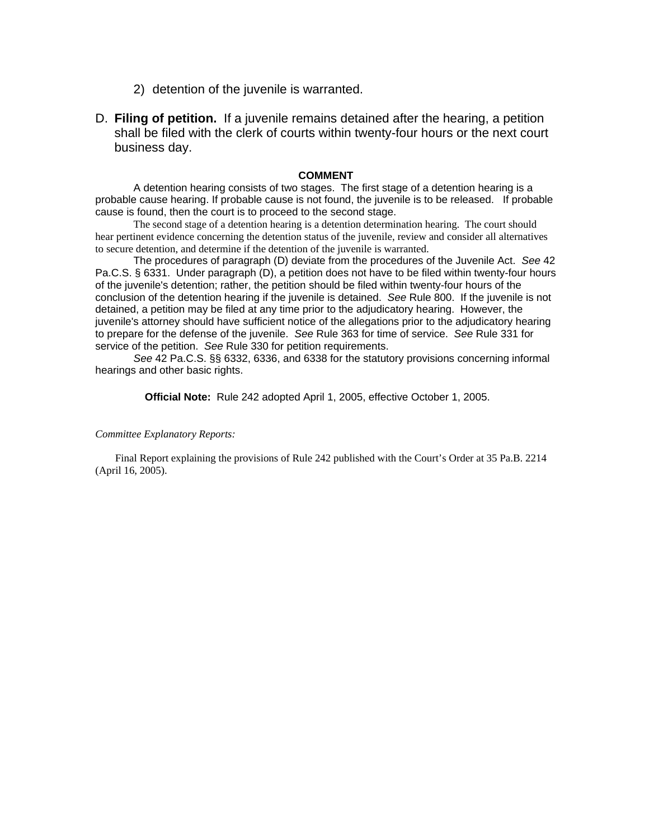- 2) detention of the juvenile is warranted.
- D. **Filing of petition.** If a juvenile remains detained after the hearing, a petition shall be filed with the clerk of courts within twenty-four hours or the next court business day.

#### **COMMENT**

A detention hearing consists of two stages. The first stage of a detention hearing is a probable cause hearing. If probable cause is not found, the juvenile is to be released. If probable cause is found, then the court is to proceed to the second stage.

The second stage of a detention hearing is a detention determination hearing. The court should hear pertinent evidence concerning the detention status of the juvenile, review and consider all alternatives to secure detention, and determine if the detention of the juvenile is warranted.

The procedures of paragraph (D) deviate from the procedures of the Juvenile Act. *See* 42 Pa.C.S. § 6331. Under paragraph (D), a petition does not have to be filed within twenty-four hours of the juvenile's detention; rather, the petition should be filed within twenty-four hours of the conclusion of the detention hearing if the juvenile is detained. *See* Rule 800. If the juvenile is not detained, a petition may be filed at any time prior to the adjudicatory hearing. However, the juvenile's attorney should have sufficient notice of the allegations prior to the adjudicatory hearing to prepare for the defense of the juvenile. *See* Rule 363 for time of service. *See* Rule 331 for service of the petition. *See* Rule 330 for petition requirements.

*See* 42 Pa.C.S. §§ 6332, 6336, and 6338 for the statutory provisions concerning informal hearings and other basic rights.

**Official Note:** Rule 242 adopted April 1, 2005, effective October 1, 2005.

#### *Committee Explanatory Reports:*

Final Report explaining the provisions of Rule 242 published with the Court's Order at 35 Pa.B. 2214 (April 16, 2005).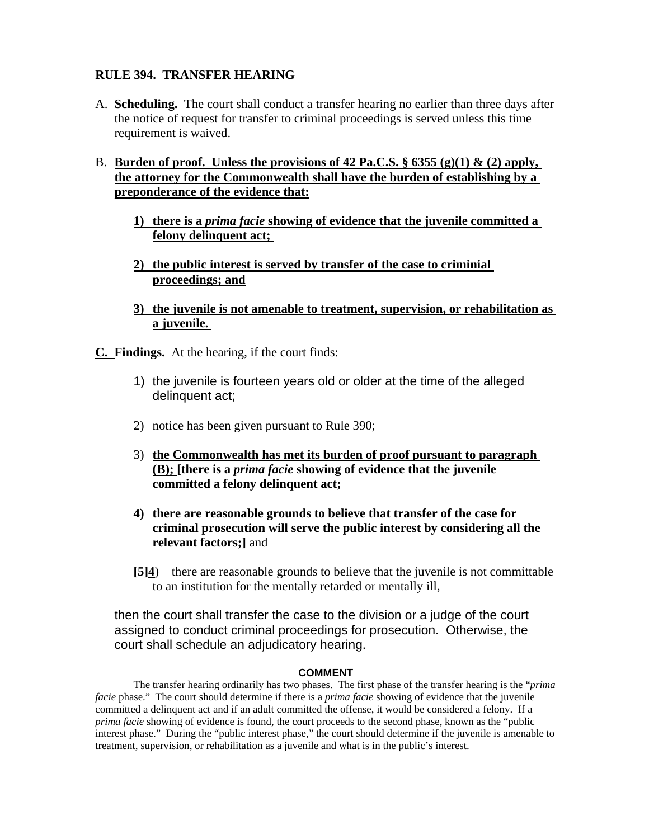## **RULE 394. TRANSFER HEARING**

A. **Scheduling.** The court shall conduct a transfer hearing no earlier than three days after the notice of request for transfer to criminal proceedings is served unless this time requirement is waived.

## B. **Burden of proof. Unless the provisions of 42 Pa.C.S. § 6355 (g)(1) & (2) apply, the attorney for the Commonwealth shall have the burden of establishing by a preponderance of the evidence that:**

- **1) there is a** *prima facie* **showing of evidence that the juvenile committed a felony delinquent act;**
- **2) the public interest is served by transfer of the case to criminial proceedings; and**
- **3) the juvenile is not amenable to treatment, supervision, or rehabilitation as a juvenile.**

**C. Findings.** At the hearing, if the court finds:

- 1) the juvenile is fourteen years old or older at the time of the alleged delinquent act;
- 2) notice has been given pursuant to Rule 390;
- 3) **the Commonwealth has met its burden of proof pursuant to paragraph (B); [there is a** *prima facie* **showing of evidence that the juvenile committed a felony delinquent act;**
- **4) there are reasonable grounds to believe that transfer of the case for criminal prosecution will serve the public interest by considering all the relevant factors;]** and
- **[5]4**) there are reasonable grounds to believe that the juvenile is not committable to an institution for the mentally retarded or mentally ill,

then the court shall transfer the case to the division or a judge of the court assigned to conduct criminal proceedings for prosecution. Otherwise, the court shall schedule an adjudicatory hearing.

#### **COMMENT**

The transfer hearing ordinarily has two phases. The first phase of the transfer hearing is the "*prima facie* phase." The court should determine if there is a *prima facie* showing of evidence that the juvenile committed a delinquent act and if an adult committed the offense, it would be considered a felony. If a *prima facie* showing of evidence is found, the court proceeds to the second phase, known as the "public interest phase." During the "public interest phase," the court should determine if the juvenile is amenable to treatment, supervision, or rehabilitation as a juvenile and what is in the public's interest.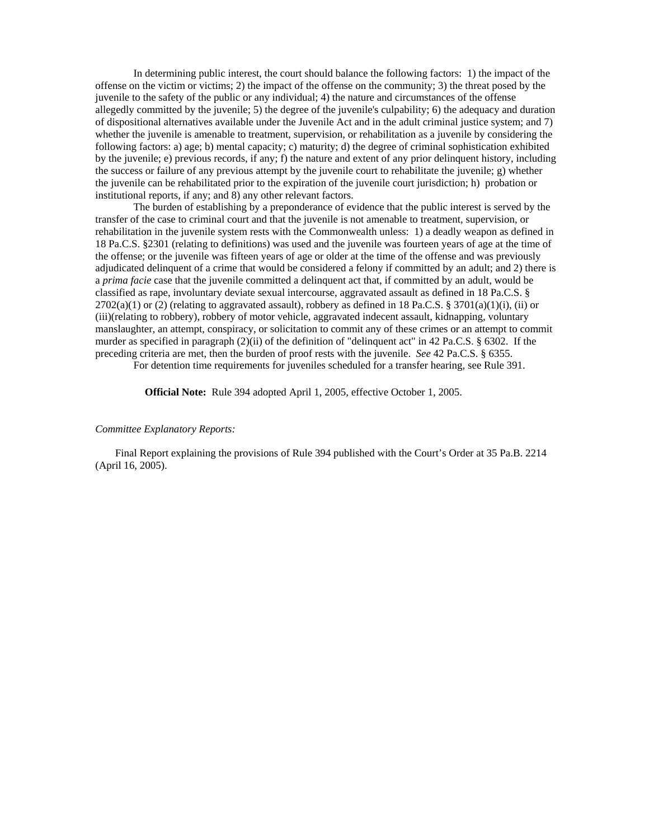In determining public interest, the court should balance the following factors: 1) the impact of the offense on the victim or victims; 2) the impact of the offense on the community; 3) the threat posed by the juvenile to the safety of the public or any individual; 4) the nature and circumstances of the offense allegedly committed by the juvenile; 5) the degree of the juvenile's culpability; 6) the adequacy and duration of dispositional alternatives available under the Juvenile Act and in the adult criminal justice system; and 7) whether the juvenile is amenable to treatment, supervision, or rehabilitation as a juvenile by considering the following factors: a) age; b) mental capacity; c) maturity; d) the degree of criminal sophistication exhibited by the juvenile; e) previous records, if any; f) the nature and extent of any prior delinquent history, including the success or failure of any previous attempt by the juvenile court to rehabilitate the juvenile; g) whether the juvenile can be rehabilitated prior to the expiration of the juvenile court jurisdiction; h) probation or institutional reports, if any; and 8) any other relevant factors.

The burden of establishing by a preponderance of evidence that the public interest is served by the transfer of the case to criminal court and that the juvenile is not amenable to treatment, supervision, or rehabilitation in the juvenile system rests with the Commonwealth unless: 1) a deadly weapon as defined in 18 Pa.C.S. §2301 (relating to definitions) was used and the juvenile was fourteen years of age at the time of the offense; or the juvenile was fifteen years of age or older at the time of the offense and was previously adjudicated delinquent of a crime that would be considered a felony if committed by an adult; and 2) there is a *prima facie* case that the juvenile committed a delinquent act that, if committed by an adult, would be classified as rape, involuntary deviate sexual intercourse, aggravated assault as defined in 18 Pa.C.S. §  $2702(a)(1)$  or (2) (relating to aggravated assault), robbery as defined in 18 Pa.C.S. § 3701(a)(1)(i), (ii) or (iii)(relating to robbery), robbery of motor vehicle, aggravated indecent assault, kidnapping, voluntary manslaughter, an attempt, conspiracy, or solicitation to commit any of these crimes or an attempt to commit murder as specified in paragraph (2)(ii) of the definition of "delinquent act" in 42 Pa.C.S. § 6302. If the preceding criteria are met, then the burden of proof rests with the juvenile. *See* 42 Pa.C.S. § 6355.

For detention time requirements for juveniles scheduled for a transfer hearing, see Rule 391.

**Official Note:** Rule 394 adopted April 1, 2005, effective October 1, 2005.

#### *Committee Explanatory Reports:*

Final Report explaining the provisions of Rule 394 published with the Court's Order at 35 Pa.B. 2214 (April 16, 2005).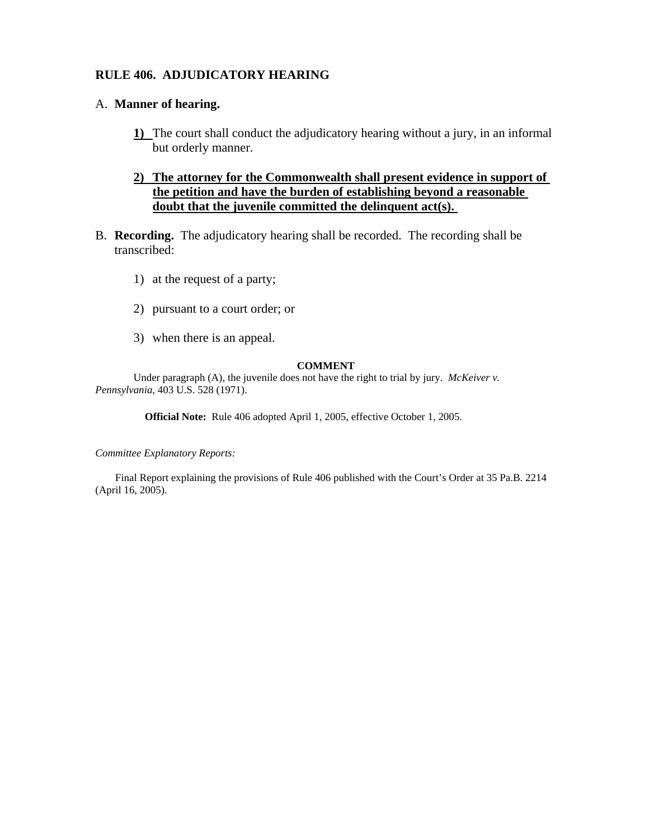### **RULE 406. ADJUDICATORY HEARING**

#### A. **Manner of hearing.**

**1)** The court shall conduct the adjudicatory hearing without a jury, in an informal but orderly manner.

## **2) The attorney for the Commonwealth shall present evidence in support of the petition and have the burden of establishing beyond a reasonable doubt that the juvenile committed the delinquent act(s).**

- B. **Recording.** The adjudicatory hearing shall be recorded. The recording shall be transcribed:
	- 1) at the request of a party;
	- 2) pursuant to a court order; or
	- 3) when there is an appeal.

#### **COMMENT**

Under paragraph (A), the juvenile does not have the right to trial by jury. *McKeiver v. Pennsylvania*, 403 U.S. 528 (1971).

**Official Note:** Rule 406 adopted April 1, 2005, effective October 1, 2005.

*Committee Explanatory Reports:* 

Final Report explaining the provisions of Rule 406 published with the Court's Order at 35 Pa.B. 2214 (April 16, 2005).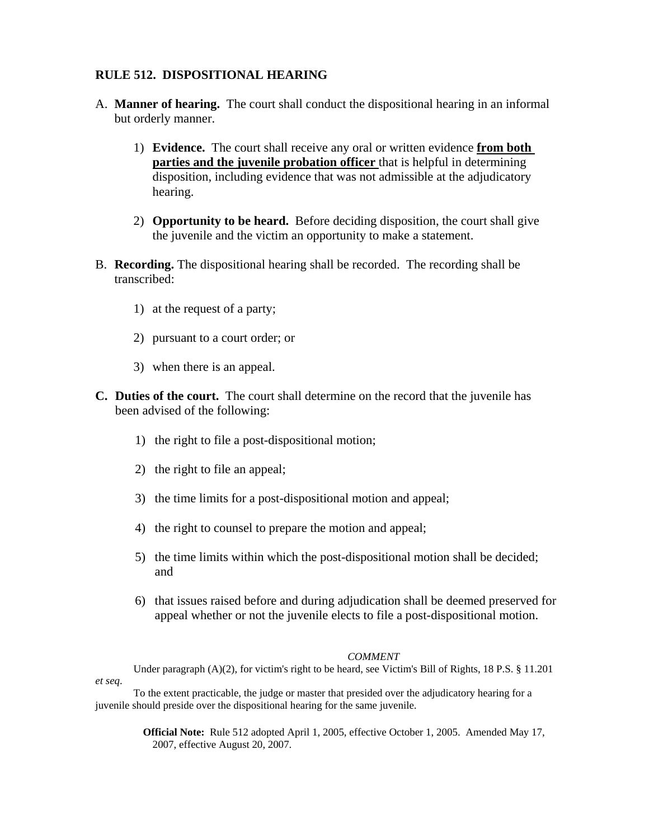### **RULE 512. DISPOSITIONAL HEARING**

- A. **Manner of hearing.** The court shall conduct the dispositional hearing in an informal but orderly manner.
	- 1) **Evidence.** The court shall receive any oral or written evidence **from both parties and the juvenile probation officer** that is helpful in determining disposition, including evidence that was not admissible at the adjudicatory hearing.
	- 2) **Opportunity to be heard.** Before deciding disposition, the court shall give the juvenile and the victim an opportunity to make a statement.
- B. **Recording.** The dispositional hearing shall be recorded. The recording shall be transcribed:
	- 1) at the request of a party;
	- 2) pursuant to a court order; or
	- 3) when there is an appeal.
- **C. Duties of the court.** The court shall determine on the record that the juvenile has been advised of the following:
	- 1) the right to file a post-dispositional motion;
	- 2) the right to file an appeal;
	- 3) the time limits for a post-dispositional motion and appeal;
	- 4) the right to counsel to prepare the motion and appeal;
	- 5) the time limits within which the post-dispositional motion shall be decided; and
	- 6) that issues raised before and during adjudication shall be deemed preserved for appeal whether or not the juvenile elects to file a post-dispositional motion.

#### *COMMENT*

Under paragraph (A)(2), for victim's right to be heard, see Victim's Bill of Rights, 18 P.S. § 11.201 *et seq*.

To the extent practicable, the judge or master that presided over the adjudicatory hearing for a juvenile should preside over the dispositional hearing for the same juvenile.

> **Official Note:** Rule 512 adopted April 1, 2005, effective October 1, 2005. Amended May 17, 2007, effective August 20, 2007.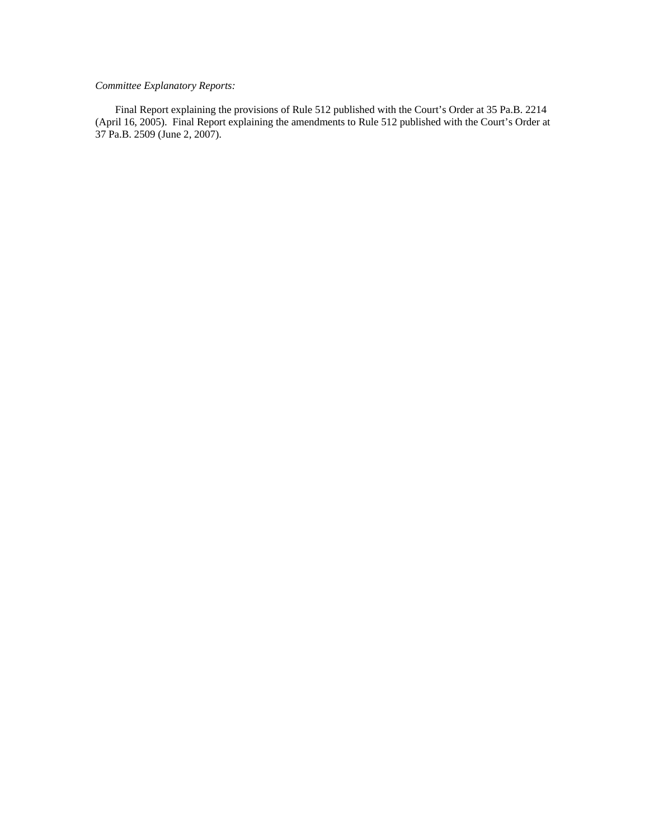#### *Committee Explanatory Reports:*

Final Report explaining the provisions of Rule 512 published with the Court's Order at 35 Pa.B. 2214 (April 16, 2005). Final Report explaining the amendments to Rule 512 published with the Court's Order at 37 Pa.B. 2509 (June 2, 2007).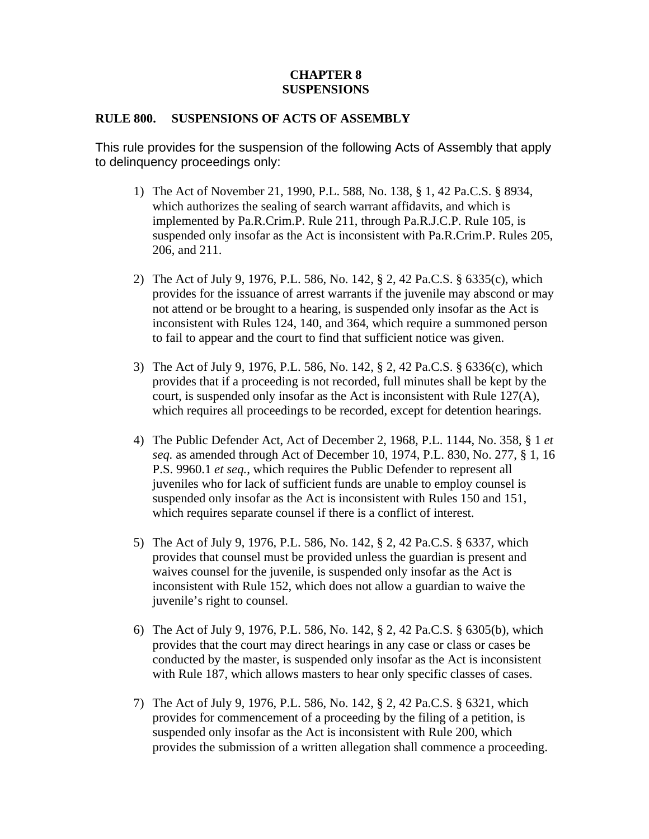## **CHAPTER 8 SUSPENSIONS**

### **RULE 800. SUSPENSIONS OF ACTS OF ASSEMBLY**

This rule provides for the suspension of the following Acts of Assembly that apply to delinquency proceedings only:

- 1) The Act of November 21, 1990, P.L. 588, No. 138, § 1, 42 Pa.C.S. § 8934, which authorizes the sealing of search warrant affidavits, and which is implemented by Pa.R.Crim.P. Rule 211, through Pa.R.J.C.P. Rule 105, is suspended only insofar as the Act is inconsistent with Pa.R.Crim.P. Rules 205, 206, and 211.
- 2) The Act of July 9, 1976, P.L. 586, No. 142, § 2, 42 Pa.C.S. § 6335(c), which provides for the issuance of arrest warrants if the juvenile may abscond or may not attend or be brought to a hearing, is suspended only insofar as the Act is inconsistent with Rules 124, 140, and 364, which require a summoned person to fail to appear and the court to find that sufficient notice was given.
- 3) The Act of July 9, 1976, P.L. 586, No. 142, § 2, 42 Pa.C.S. § 6336(c), which provides that if a proceeding is not recorded, full minutes shall be kept by the court, is suspended only insofar as the Act is inconsistent with Rule 127(A), which requires all proceedings to be recorded, except for detention hearings.
- 4) The Public Defender Act, Act of December 2, 1968, P.L. 1144, No. 358, § 1 *et seq.* as amended through Act of December 10, 1974, P.L. 830, No. 277, § 1, 16 P.S. 9960.1 *et seq.*, which requires the Public Defender to represent all juveniles who for lack of sufficient funds are unable to employ counsel is suspended only insofar as the Act is inconsistent with Rules 150 and 151, which requires separate counsel if there is a conflict of interest.
- 5) The Act of July 9, 1976, P.L. 586, No. 142, § 2, 42 Pa.C.S. § 6337, which provides that counsel must be provided unless the guardian is present and waives counsel for the juvenile, is suspended only insofar as the Act is inconsistent with Rule 152, which does not allow a guardian to waive the juvenile's right to counsel.
- 6) The Act of July 9, 1976, P.L. 586, No. 142, § 2, 42 Pa.C.S. § 6305(b), which provides that the court may direct hearings in any case or class or cases be conducted by the master, is suspended only insofar as the Act is inconsistent with Rule 187, which allows masters to hear only specific classes of cases.
- 7) The Act of July 9, 1976, P.L. 586, No. 142, § 2, 42 Pa.C.S. § 6321, which provides for commencement of a proceeding by the filing of a petition, is suspended only insofar as the Act is inconsistent with Rule 200, which provides the submission of a written allegation shall commence a proceeding.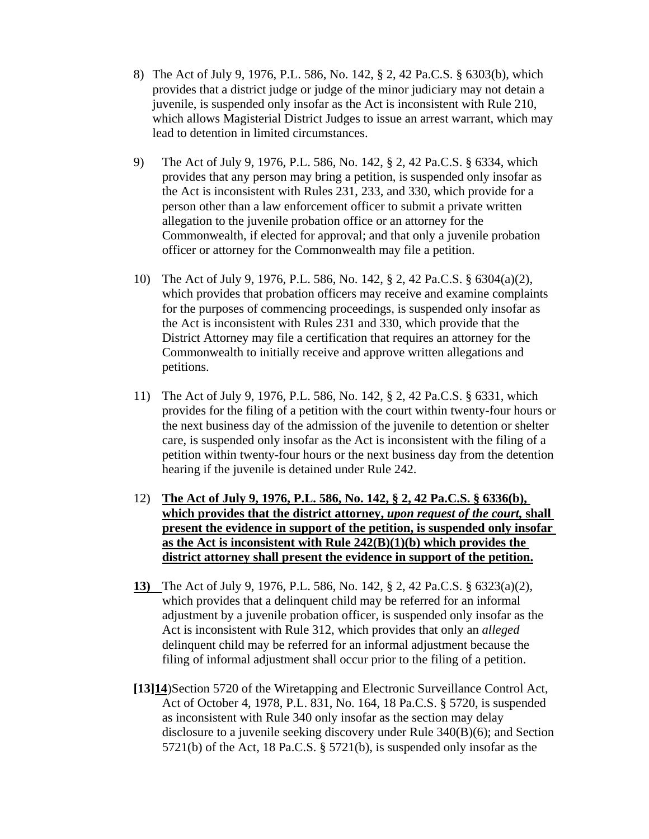- 8) The Act of July 9, 1976, P.L. 586, No. 142, § 2, 42 Pa.C.S. § 6303(b), which provides that a district judge or judge of the minor judiciary may not detain a juvenile, is suspended only insofar as the Act is inconsistent with Rule 210, which allows Magisterial District Judges to issue an arrest warrant, which may lead to detention in limited circumstances.
- 9) The Act of July 9, 1976, P.L. 586, No. 142, § 2, 42 Pa.C.S. § 6334, which provides that any person may bring a petition, is suspended only insofar as the Act is inconsistent with Rules 231, 233, and 330, which provide for a person other than a law enforcement officer to submit a private written allegation to the juvenile probation office or an attorney for the Commonwealth, if elected for approval; and that only a juvenile probation officer or attorney for the Commonwealth may file a petition.
- 10) The Act of July 9, 1976, P.L. 586, No. 142, § 2, 42 Pa.C.S. § 6304(a)(2), which provides that probation officers may receive and examine complaints for the purposes of commencing proceedings, is suspended only insofar as the Act is inconsistent with Rules 231 and 330, which provide that the District Attorney may file a certification that requires an attorney for the Commonwealth to initially receive and approve written allegations and petitions.
- 11) The Act of July 9, 1976, P.L. 586, No. 142, § 2, 42 Pa.C.S. § 6331, which provides for the filing of a petition with the court within twenty-four hours or the next business day of the admission of the juvenile to detention or shelter care, is suspended only insofar as the Act is inconsistent with the filing of a petition within twenty-four hours or the next business day from the detention hearing if the juvenile is detained under Rule 242.
- 12) **The Act of July 9, 1976, P.L. 586, No. 142, § 2, 42 Pa.C.S. § 6336(b), which provides that the district attorney,** *upon request of the court,* **shall present the evidence in support of the petition, is suspended only insofar as the Act is inconsistent with Rule 242(B)(1)(b) which provides the district attorney shall present the evidence in support of the petition.**
- **13)** The Act of July 9, 1976, P.L. 586, No. 142, § 2, 42 Pa.C.S. § 6323(a)(2), which provides that a delinquent child may be referred for an informal adjustment by a juvenile probation officer, is suspended only insofar as the Act is inconsistent with Rule 312, which provides that only an *alleged* delinquent child may be referred for an informal adjustment because the filing of informal adjustment shall occur prior to the filing of a petition.
- **[13]14**)Section 5720 of the Wiretapping and Electronic Surveillance Control Act, Act of October 4, 1978, P.L. 831, No. 164, 18 Pa.C.S. § 5720, is suspended as inconsistent with Rule 340 only insofar as the section may delay disclosure to a juvenile seeking discovery under Rule 340(B)(6); and Section 5721(b) of the Act, 18 Pa.C.S. § 5721(b), is suspended only insofar as the